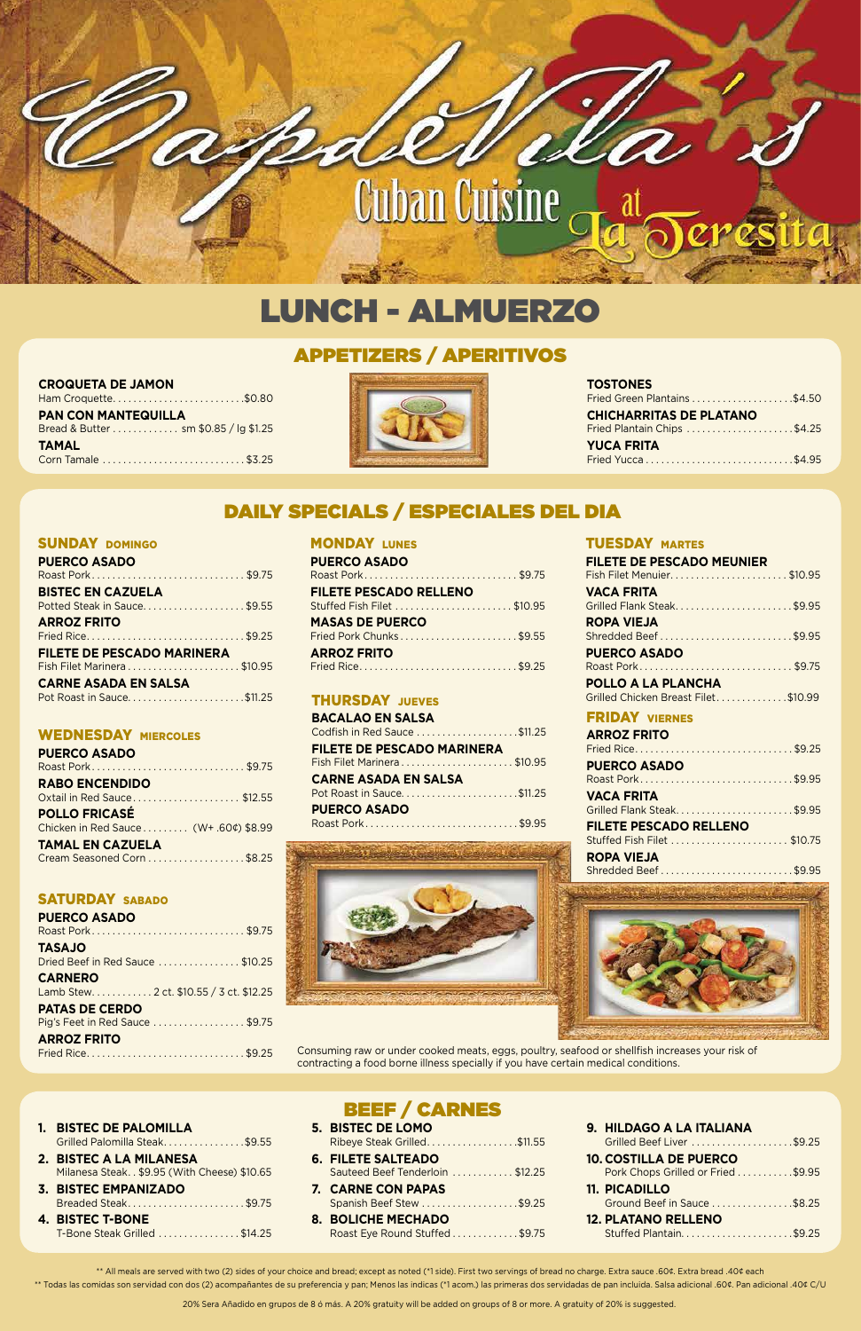# SUNDAY DOMINGO

| <b>PUERCO ASADO</b>               |  |
|-----------------------------------|--|
| Roast Pork\$9.75                  |  |
| <b>BISTEC EN CAZUELA</b>          |  |
| Potted Steak in Sauce\$9.55       |  |
| <b>ARROZ FRITO</b>                |  |
| Fried Rice\$9.25                  |  |
| <b>FILETE DE PESCADO MARINERA</b> |  |
| Fish Filet Marinera\$10.95        |  |
| <b>CARNE ASADA EN SALSA</b>       |  |
| Pot Roast in Sauce\$11.25         |  |

## WEDNESDAY MIERCOLES

Consuming raw or under cooked meats, eggs, poultry, seafood or shellfish increases your risk of contracting a food borne illness specially if you have certain medical conditions.

| <b>PUERCO ASADO</b>           |  |
|-------------------------------|--|
| Roast Pork\$9.75              |  |
| <b>FILETE PESCADO RELLENO</b> |  |
| Stuffed Fish Filet \$10.95    |  |
| <b>MASAS DE PUERCO</b>        |  |
| Fried Pork Chunks\$9.55       |  |
| <b>ARROZ FRITO</b>            |  |
|                               |  |

## **THURSDAY JUEVES**

## TUESDAY MARTES

| <b>PUERCO ASADO</b>                   |  |
|---------------------------------------|--|
| Roast Pork\$9.75                      |  |
| <b>RABO ENCENDIDO</b>                 |  |
| Oxtail in Red Sauce\$12.55            |  |
| <b>POLLO FRICASÉ</b>                  |  |
| Chicken in Red Sauce (W+ .60¢) \$8.99 |  |
| <b>TAMAL EN CAZUELA</b>               |  |
| Cream Seasoned Corn \$8.25            |  |

| <b>FILETE DE PESCADO MEUNIER</b>         |
|------------------------------------------|
| Fish Filet Menuier\$10.95                |
| <b>VACA FRITA</b>                        |
| Grilled Flank Steak\$9.95                |
| <b>ROPA VIEJA</b>                        |
|                                          |
| <b>PUERCO ASADO</b>                      |
| Roast Pork\$9.75                         |
| POLLO A LA PLANCHA                       |
| Grilled Chicken Breast Filet\$10.99      |
| <b>FRIDAY VIERNES</b>                    |
|                                          |
| <b>ARROZ FRITO</b>                       |
| Fried Rice\$9.25                         |
| <b>PUERCO ASADO</b>                      |
| Roast Pork\$9.95                         |
| <b>VACA FRITA</b>                        |
| Grilled Flank Steak\$9.95                |
| <b>FILETE PESCADO RELLENO</b>            |
| Stuffed Fish Filet \$10.75               |
| <b>ROPA VIEJA</b><br>Shredded Beef\$9.95 |



| <b>BACALAO EN SALSA</b>           |  |
|-----------------------------------|--|
| Codfish in Red Sauce \$11.25      |  |
| <b>FILETE DE PESCADO MARINERA</b> |  |
|                                   |  |
| <b>CARNE ASADA EN SALSA</b>       |  |
|                                   |  |
| <b>PUERCO ASADO</b>               |  |
|                                   |  |

# SATURDAY SABADO

| <b>PUERCO ASADO</b>             |  |
|---------------------------------|--|
|                                 |  |
| <b>OLASAT</b>                   |  |
| Dried Beef in Red Sauce \$10.25 |  |
| CADNEDO                         |  |

# **MONDAY LUNES**

#### **CARNERO**

Lamb Stew . . . . . . . . . . . 2 ct. \$10.55 / 3 ct. \$12.25

#### **PATAS DE CERDO**

Pig's Feet in Red Sauce . . . . . . . . . . . . . . . \$9.75

## **ARROZ FRITO**

Fried Rice . . . . . . . . . . . . . . . . . . . . . . . . . . . . . . \$9.25

| 1. BISTEC DE PALOMILLA                     |
|--------------------------------------------|
| Grilled Palomilla Steak\$9.55              |
| 2. BISTEC A LA MILANESA                    |
| Milanesa Steak\$9.95 (With Cheese) \$10.65 |
| 3. BISTEC EMPANIZADO                       |
| Breaded Steak\$9.75                        |
| <b>4. BISTEC T-BONE</b>                    |
| T-Bone Steak Grilled \$14.25               |

# DAILY SPECIALS / ESPECIALES DEL DIA

| 1. BISTEC DE PALOMILLA                      | <b>5. BISTEC DE LOMO</b>        | 9. HILDAGO A LA ITALIANA           |
|---------------------------------------------|---------------------------------|------------------------------------|
| Grilled Palomilla Steak\$9.55               | Ribeye Steak Grilled\$11.55     | Grilled Beef Liver \$9.25          |
| 2. BISTEC A LA MILANESA                     | <b>6. FILETE SALTEADO</b>       | <b>10. COSTILLA DE PUERCO</b>      |
| Milanesa Steak \$9.95 (With Cheese) \$10.65 | Sauteed Beef Tenderloin \$12.25 | Pork Chops Grilled or Fried \$9.95 |
|                                             |                                 |                                    |
| <b>3. BISTEC EMPANIZADO</b>                 | 7. CARNE CON PAPAS              | <b>11. PICADILLO</b>               |
| Breaded Steak\$9.75                         | Spanish Beef Stew \$9.25        | Ground Beef in Sauce \$8.25        |
| <b>4. BISTEC T-BONE</b>                     | <b>8. BOLICHE MECHADO</b>       | <b>12. PLATANO RELLENO</b>         |

\*\* All meals are served with two (2) sides of your choice and bread; except as noted (\*1 side). First two servings of bread no charge. Extra sauce .60¢. Extra bread .40¢ each \*\* Todas las comidas son servidad con dos (2) acompañantes de su preferencia y pan; Menos las indicas (\*1 acom.) las primeras dos servidadas de pan incluida. Salsa adicional .60¢. Pan adicional .40¢ C/U

20% Sera Añadido en grupos de 8 ó más. A 20% gratuity will be added on groups of 8 or more. A gratuity of 20% is suggested.

# APPETIZERS / APERITIVOS

| <b>CROQUETA DE JAMON</b> |  |  |  |  |
|--------------------------|--|--|--|--|
|--------------------------|--|--|--|--|

| Ham Croquette\$0.80                  |  |
|--------------------------------------|--|
| <b>PAN CON MANTEQUILLA</b>           |  |
| Bread & Butter sm \$0.85 / lg \$1.25 |  |
| <b>TAMAL</b>                         |  |
| Corn Tamale \$3.25                   |  |



### **TOSTONES**

| Fried Green Plantains \$4.50   |  |
|--------------------------------|--|
| <b>CHICHARRITAS DE PLATANO</b> |  |
| Fried Plantain Chips \$4.25    |  |
| <b>YUCA FRITA</b>              |  |
| Fried Yucca\$4.95              |  |





# LUNCH - ALMUERZO